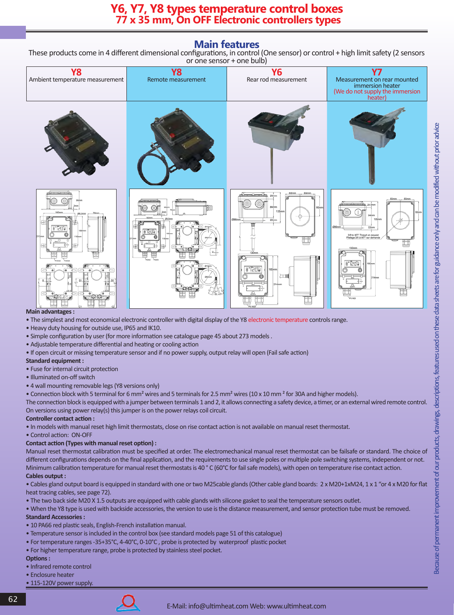# **Main features**

These products come in 4 different dimensional configurations, in control (One sensor) or control + high limit safety (2 sensors or one sensor + one bulb)



## **Main advantages :**

- The simplest and most economical electronic controller with digital display of the Y8 electronic temperature controls range.
- Heavy duty housing for outside use, IP65 and IK10.
- Simple configuration by user (for more information see catalogue page 45 about 273 models .
- Adjustable temperature differential and heating or cooling action
- If open circuit or missing temperature sensor and if no power supply, output relay will open (Fail safe action)

#### **Standard equipment :**

- Fuse for internal circuit protection
- Illuminated on-off switch
- 4 wall mounting removable legs (Y8 versions only)
- Connection block with 5 terminal for 6 mm² wires and 5 terminals for 2.5 mm² wires (10 x 10 mm ² for 30A and higher models).

The connection block is equipped with a jumper between terminals 1 and 2, it allows connecting a safety device, a timer, or an external wired remote control. On versions using power relay(s) this jumper is on the power relays coil circuit.

## **Controller contact action :**

- In models with manual reset high limit thermostats, close on rise contact action is not available on manual reset thermostat.
- Control action: ON-OFF

## **Contact action (Types with manual reset option) :**

Manual reset thermostat calibration must be specified at order. The electromechanical manual reset thermostat can be failsafe or standard. The choice of different configurations depends on the final application, and the requirements to use single poles or multiple pole switching systems, independent or not. Minimum calibration temperature for manual reset thermostats is 40 °C (60°C for fail safe models), with open on temperature rise contact action. **Cables output :**

• Cables gland output board is equipped in standard with one or two M25cable glands (Other cable gland boards: 2 x M20+1xM24, 1 x 1 "or 4 x M20 for flat heat tracing cables, see page 72).

- The two back side M20 X 1.5 outputs are equipped with cable glands with silicone gasket to seal the temperature sensors outlet.
- When the Y8 type is used with backside accessories, the version to use is the distance measurement, and sensor protection tube must be removed. **Standard Accessories :**
- 10 PA66 red plastic seals, English-French installation manual.
- Temperature sensor is included in the control box (see standard models page 51 of this catalogue)
- For temperature ranges -35+35°C, 4-40°C, 0-10°C , probe is protected by waterproof plastic pocket
- For higher temperature range, probe is protected by stainless steel pocket.

#### **Options :**

- Infrared remote control
- Enclosure heater
- 115-120V power supply.